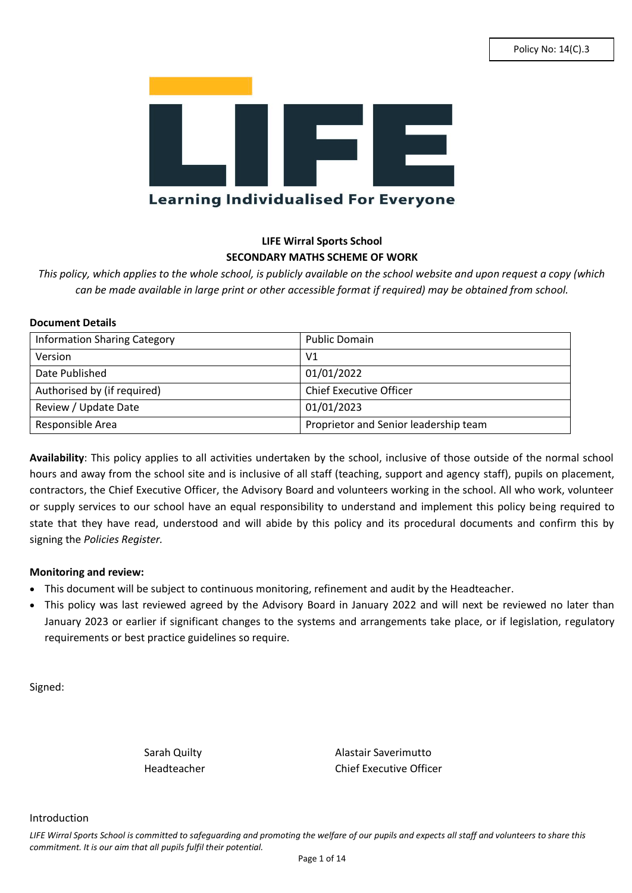

# **LIFE Wirral Sports School SECONDARY MATHS SCHEME OF WORK**

*This policy, which applies to the whole school, is publicly available on the school website and upon request a copy (which can be made available in large print or other accessible format if required) may be obtained from school.*

#### **Document Details**

| <b>Information Sharing Category</b> | <b>Public Domain</b>                  |
|-------------------------------------|---------------------------------------|
| Version                             | V <sub>1</sub>                        |
| Date Published                      | 01/01/2022                            |
| Authorised by (if required)         | <b>Chief Executive Officer</b>        |
| Review / Update Date                | 01/01/2023                            |
| Responsible Area                    | Proprietor and Senior leadership team |

**Availability**: This policy applies to all activities undertaken by the school, inclusive of those outside of the normal school hours and away from the school site and is inclusive of all staff (teaching, support and agency staff), pupils on placement, contractors, the Chief Executive Officer, the Advisory Board and volunteers working in the school. All who work, volunteer or supply services to our school have an equal responsibility to understand and implement this policy being required to state that they have read, understood and will abide by this policy and its procedural documents and confirm this by signing the *Policies Register.*

#### **Monitoring and review:**

- This document will be subject to continuous monitoring, refinement and audit by the Headteacher.
- This policy was last reviewed agreed by the Advisory Board in January 2022 and will next be reviewed no later than January 2023 or earlier if significant changes to the systems and arrangements take place, or if legislation, regulatory requirements or best practice guidelines so require.

Signed:

Sarah Quilty **Alastair Saverimutto** Headteacher Chief Executive Officer

Introduction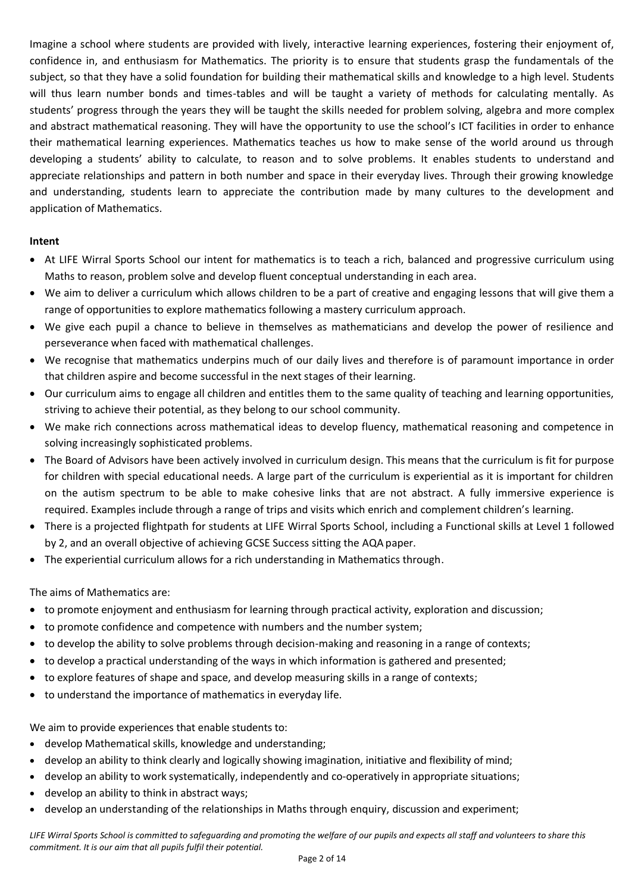Imagine a school where students are provided with lively, interactive learning experiences, fostering their enjoyment of, confidence in, and enthusiasm for Mathematics. The priority is to ensure that students grasp the fundamentals of the subject, so that they have a solid foundation for building their mathematical skills and knowledge to a high level. Students will thus learn number bonds and times-tables and will be taught a variety of methods for calculating mentally. As students' progress through the years they will be taught the skills needed for problem solving, algebra and more complex and abstract mathematical reasoning. They will have the opportunity to use the school's ICT facilities in order to enhance their mathematical learning experiences. Mathematics teaches us how to make sense of the world around us through developing a students' ability to calculate, to reason and to solve problems. It enables students to understand and appreciate relationships and pattern in both number and space in their everyday lives. Through their growing knowledge and understanding, students learn to appreciate the contribution made by many cultures to the development and application of Mathematics.

#### **Intent**

- At LIFE Wirral Sports School our intent for mathematics is to teach a rich, balanced and progressive curriculum using Maths to reason, problem solve and develop fluent conceptual understanding in each area.
- We aim to deliver a curriculum which allows children to be a part of creative and engaging lessons that will give them a range of opportunities to explore mathematics following a mastery curriculum approach.
- We give each pupil a chance to believe in themselves as mathematicians and develop the power of resilience and perseverance when faced with mathematical challenges.
- We recognise that mathematics underpins much of our daily lives and therefore is of paramount importance in order that children aspire and become successful in the next stages of their learning.
- Our curriculum aims to engage all children and entitles them to the same quality of teaching and learning opportunities, striving to achieve their potential, as they belong to our school community.
- We make rich connections across mathematical ideas to develop fluency, mathematical reasoning and competence in solving increasingly sophisticated problems.
- The Board of Advisors have been actively involved in curriculum design. This means that the curriculum is fit for purpose for children with special educational needs. A large part of the curriculum is experiential as it is important for children on the autism spectrum to be able to make cohesive links that are not abstract. A fully immersive experience is required. Examples include through a range of trips and visits which enrich and complement children's learning.
- There is a projected flightpath for students at LIFE Wirral Sports School, including a Functional skills at Level 1 followed by 2, and an overall objective of achieving GCSE Success sitting the AQA paper.
- The experiential curriculum allows for a rich understanding in Mathematics through.

## The aims of Mathematics are:

- to promote enjoyment and enthusiasm for learning through practical activity, exploration and discussion;
- to promote confidence and competence with numbers and the number system;
- to develop the ability to solve problems through decision-making and reasoning in a range of contexts;
- to develop a practical understanding of the ways in which information is gathered and presented;
- to explore features of shape and space, and develop measuring skills in a range of contexts;
- to understand the importance of mathematics in everyday life.

We aim to provide experiences that enable students to:

- develop Mathematical skills, knowledge and understanding;
- develop an ability to think clearly and logically showing imagination, initiative and flexibility of mind;
- develop an ability to work systematically, independently and co-operatively in appropriate situations;
- develop an ability to think in abstract ways;
- develop an understanding of the relationships in Maths through enquiry, discussion and experiment;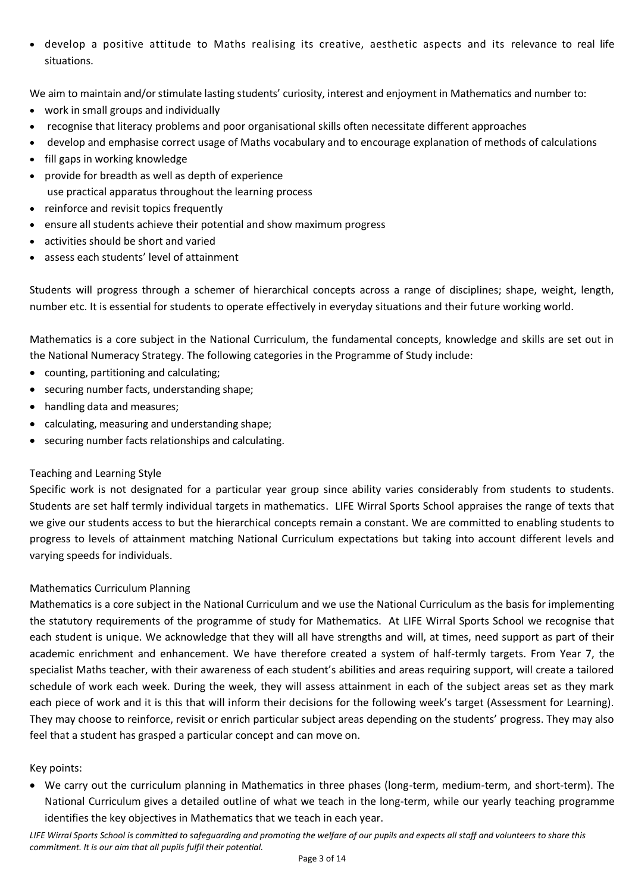develop a positive attitude to Maths realising its creative, aesthetic aspects and its relevance to real life situations.

We aim to maintain and/or stimulate lasting students' curiosity, interest and enjoyment in Mathematics and number to:

- work in small groups and individually
- recognise that literacy problems and poor organisational skills often necessitate different approaches
- develop and emphasise correct usage of Maths vocabulary and to encourage explanation of methods of calculations
- fill gaps in working knowledge
- provide for breadth as well as depth of experience use practical apparatus throughout the learning process
- reinforce and revisit topics frequently
- ensure all students achieve their potential and show maximum progress
- activities should be short and varied
- assess each students' level of attainment

Students will progress through a schemer of hierarchical concepts across a range of disciplines; shape, weight, length, number etc. It is essential for students to operate effectively in everyday situations and their future working world.

Mathematics is a core subject in the National Curriculum, the fundamental concepts, knowledge and skills are set out in the National Numeracy Strategy. The following categories in the Programme of Study include:

- counting, partitioning and calculating;
- securing number facts, understanding shape;
- handling data and measures;
- calculating, measuring and understanding shape;
- securing number facts relationships and calculating.

## Teaching and Learning Style

Specific work is not designated for a particular year group since ability varies considerably from students to students. Students are set half termly individual targets in mathematics. LIFE Wirral Sports School appraises the range of texts that we give our students access to but the hierarchical concepts remain a constant. We are committed to enabling students to progress to levels of attainment matching National Curriculum expectations but taking into account different levels and varying speeds for individuals.

## Mathematics Curriculum Planning

Mathematics is a core subject in the National Curriculum and we use the National Curriculum as the basis for implementing the statutory requirements of the programme of study for Mathematics. At LIFE Wirral Sports School we recognise that each student is unique. We acknowledge that they will all have strengths and will, at times, need support as part of their academic enrichment and enhancement. We have therefore created a system of half-termly targets. From Year 7, the specialist Maths teacher, with their awareness of each student's abilities and areas requiring support, will create a tailored schedule of work each week. During the week, they will assess attainment in each of the subject areas set as they mark each piece of work and it is this that will inform their decisions for the following week's target (Assessment for Learning). They may choose to reinforce, revisit or enrich particular subject areas depending on the students' progress. They may also feel that a student has grasped a particular concept and can move on.

## Key points:

 We carry out the curriculum planning in Mathematics in three phases (long-term, medium-term, and short-term). The National Curriculum gives a detailed outline of what we teach in the long-term, while our yearly teaching programme identifies the key objectives in Mathematics that we teach in each year.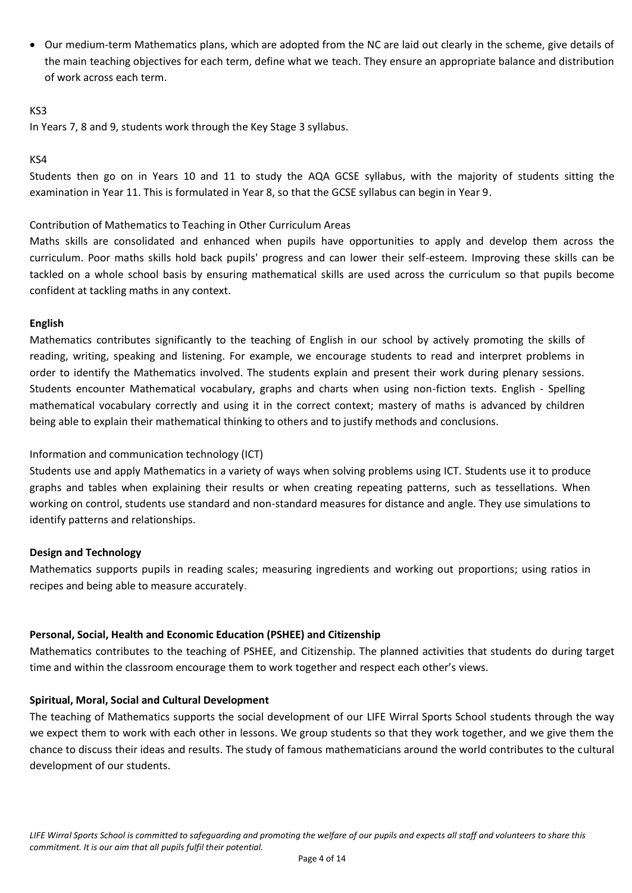Our medium-term Mathematics plans, which are adopted from the NC are laid out clearly in the scheme, give details of the main teaching objectives for each term, define what we teach. They ensure an appropriate balance and distribution of work across each term.

#### KS3

In Years 7, 8 and 9, students work through the Key Stage 3 syllabus.

#### KS4

Students then go on in Years 10 and 11 to study the AQA GCSE syllabus, with the majority of students sitting the examination in Year 11. This is formulated in Year 8, so that the GCSE syllabus can begin in Year 9.

### Contribution of Mathematics to Teaching in Other Curriculum Areas

Maths skills are consolidated and enhanced when pupils have opportunities to apply and develop them across the curriculum. Poor maths skills hold back pupils' progress and can lower their self-esteem. Improving these skills can be tackled on a whole school basis by ensuring mathematical skills are used across the curriculum so that pupils become confident at tackling maths in any context.

#### **English**

Mathematics contributes significantly to the teaching of English in our school by actively promoting the skills of reading, writing, speaking and listening. For example, we encourage students to read and interpret problems in order to identify the Mathematics involved. The students explain and present their work during plenary sessions. Students encounter Mathematical vocabulary, graphs and charts when using non-fiction texts. English - Spelling mathematical vocabulary correctly and using it in the correct context; mastery of maths is advanced by children being able to explain their mathematical thinking to others and to justify methods and conclusions.

## Information and communication technology (ICT)

Students use and apply Mathematics in a variety of ways when solving problems using ICT. Students use it to produce graphs and tables when explaining their results or when creating repeating patterns, such as tessellations. When working on control, students use standard and non-standard measures for distance and angle. They use simulations to identify patterns and relationships.

## **Design and Technology**

Mathematics supports pupils in reading scales; measuring ingredients and working out proportions; using ratios in recipes and being able to measure accurately.

#### **Personal, Social, Health and Economic Education (PSHEE) and Citizenship**

Mathematics contributes to the teaching of PSHEE, and Citizenship. The planned activities that students do during target time and within the classroom encourage them to work together and respect each other's views.

#### **Spiritual, Moral, Social and Cultural Development**

The teaching of Mathematics supports the social development of our LIFE Wirral Sports School students through the way we expect them to work with each other in lessons. We group students so that they work together, and we give them the chance to discuss their ideas and results. The study of famous mathematicians around the world contributes to the cultural development of our students.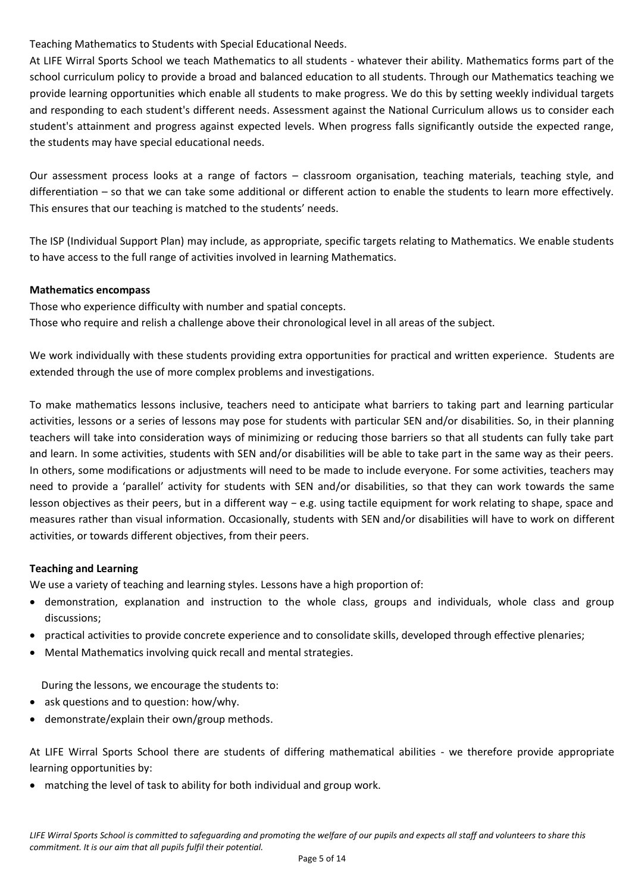Teaching Mathematics to Students with Special Educational Needs.

At LIFE Wirral Sports School we teach Mathematics to all students - whatever their ability. Mathematics forms part of the school curriculum policy to provide a broad and balanced education to all students. Through our Mathematics teaching we provide learning opportunities which enable all students to make progress. We do this by setting weekly individual targets and responding to each student's different needs. Assessment against the National Curriculum allows us to consider each student's attainment and progress against expected levels. When progress falls significantly outside the expected range, the students may have special educational needs.

Our assessment process looks at a range of factors – classroom organisation, teaching materials, teaching style, and differentiation – so that we can take some additional or different action to enable the students to learn more effectively. This ensures that our teaching is matched to the students' needs.

The ISP (Individual Support Plan) may include, as appropriate, specific targets relating to Mathematics. We enable students to have access to the full range of activities involved in learning Mathematics.

## **Mathematics encompass**

Those who experience difficulty with number and spatial concepts. Those who require and relish a challenge above their chronological level in all areas of the subject.

We work individually with these students providing extra opportunities for practical and written experience. Students are extended through the use of more complex problems and investigations.

To make mathematics lessons inclusive, teachers need to anticipate what barriers to taking part and learning particular activities, lessons or a series of lessons may pose for students with particular SEN and/or disabilities. So, in their planning teachers will take into consideration ways of minimizing or reducing those barriers so that all students can fully take part and learn. In some activities, students with SEN and/or disabilities will be able to take part in the same way as their peers. In others, some modifications or adjustments will need to be made to include everyone. For some activities, teachers may need to provide a 'parallel' activity for students with SEN and/or disabilities, so that they can work towards the same lesson objectives as their peers, but in a different way − e.g. using tactile equipment for work relating to shape, space and measures rather than visual information. Occasionally, students with SEN and/or disabilities will have to work on different activities, or towards different objectives, from their peers.

# **Teaching and Learning**

We use a variety of teaching and learning styles. Lessons have a high proportion of:

- demonstration, explanation and instruction to the whole class, groups and individuals, whole class and group discussions;
- practical activities to provide concrete experience and to consolidate skills, developed through effective plenaries;
- Mental Mathematics involving quick recall and mental strategies.

During the lessons, we encourage the students to:

- ask questions and to question: how/why.
- demonstrate/explain their own/group methods.

At LIFE Wirral Sports School there are students of differing mathematical abilities - we therefore provide appropriate learning opportunities by:

matching the level of task to ability for both individual and group work.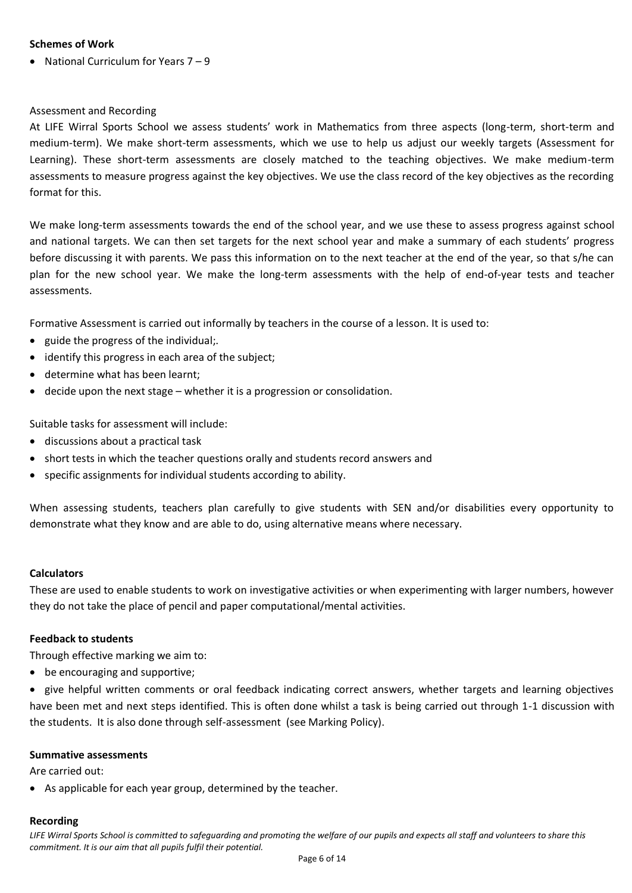#### **Schemes of Work**

• National Curriculum for Years  $7 - 9$ 

### Assessment and Recording

At LIFE Wirral Sports School we assess students' work in Mathematics from three aspects (long-term, short-term and medium-term). We make short-term assessments, which we use to help us adjust our weekly targets (Assessment for Learning). These short-term assessments are closely matched to the teaching objectives. We make medium-term assessments to measure progress against the key objectives. We use the class record of the key objectives as the recording format for this.

We make long-term assessments towards the end of the school year, and we use these to assess progress against school and national targets. We can then set targets for the next school year and make a summary of each students' progress before discussing it with parents. We pass this information on to the next teacher at the end of the year, so that s/he can plan for the new school year. We make the long-term assessments with the help of end-of-year tests and teacher assessments.

Formative Assessment is carried out informally by teachers in the course of a lesson. It is used to:

- guide the progress of the individual;.
- identify this progress in each area of the subject;
- determine what has been learnt;
- decide upon the next stage whether it is a progression or consolidation.

Suitable tasks for assessment will include:

- discussions about a practical task
- short tests in which the teacher questions orally and students record answers and
- specific assignments for individual students according to ability.

When assessing students, teachers plan carefully to give students with SEN and/or disabilities every opportunity to demonstrate what they know and are able to do, using alternative means where necessary.

#### **Calculators**

These are used to enable students to work on investigative activities or when experimenting with larger numbers, however they do not take the place of pencil and paper computational/mental activities.

#### **Feedback to students**

Through effective marking we aim to:

• be encouraging and supportive;

• give helpful written comments or oral feedback indicating correct answers, whether targets and learning objectives have been met and next steps identified. This is often done whilst a task is being carried out through 1-1 discussion with the students. It is also done through self-assessment (see Marking Policy).

#### **Summative assessments**

Are carried out:

As applicable for each year group, determined by the teacher.

#### **Recording**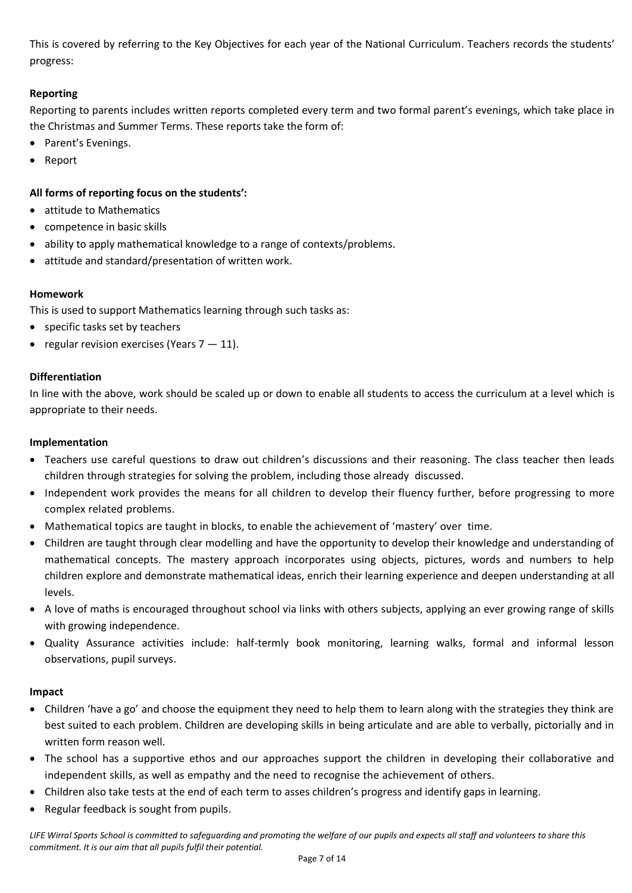This is covered by referring to the Key Objectives for each year of the National Curriculum. Teachers records the students' progress:

## **Reporting**

Reporting to parents includes written reports completed every term and two formal parent's evenings, which take place in the Christmas and Summer Terms. These reports take the form of:

- Parent's Evenings.
- Report

## **All forms of reporting focus on the students':**

- attitude to Mathematics
- competence in basic skills
- ability to apply mathematical knowledge to a range of contexts/problems.
- attitude and standard/presentation of written work.

## **Homework**

This is used to support Mathematics learning through such tasks as:

- specific tasks set by teachers
- regular revision exercises (Years  $7 11$ ).

## **Differentiation**

In line with the above, work should be scaled up or down to enable all students to access the curriculum at a level which is appropriate to their needs.

## **Implementation**

- Teachers use careful questions to draw out children's discussions and their reasoning. The class teacher then leads children through strategies for solving the problem, including those already discussed.
- Independent work provides the means for all children to develop their fluency further, before progressing to more complex related problems.
- Mathematical topics are taught in blocks, to enable the achievement of 'mastery' over time.
- Children are taught through clear modelling and have the opportunity to develop their knowledge and understanding of mathematical concepts. The mastery approach incorporates using objects, pictures, words and numbers to help children explore and demonstrate mathematical ideas, enrich their learning experience and deepen understanding at all levels.
- A love of maths is encouraged throughout school via links with others subjects, applying an ever growing range of skills with growing independence.
- Quality Assurance activities include: half-termly book monitoring, learning walks, formal and informal lesson observations, pupil surveys.

## **Impact**

- Children 'have a go' and choose the equipment they need to help them to learn along with the strategies they think are best suited to each problem. Children are developing skills in being articulate and are able to verbally, pictorially and in written form reason well.
- The school has a supportive ethos and our approaches support the children in developing their collaborative and independent skills, as well as empathy and the need to recognise the achievement of others.
- Children also take tests at the end of each term to asses children's progress and identify gaps in learning.
- Regular feedback is sought from pupils.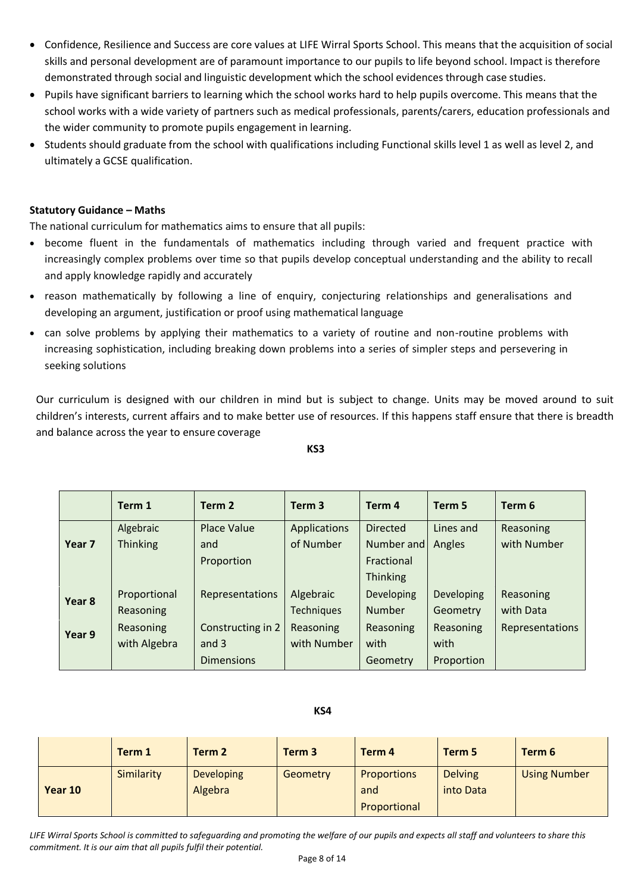- Confidence, Resilience and Success are core values at LIFE Wirral Sports School. This means that the acquisition of social skills and personal development are of paramount importance to our pupils to life beyond school. Impact is therefore demonstrated through social and linguistic development which the school evidences through case studies.
- Pupils have significant barriers to learning which the school works hard to help pupils overcome. This means that the school works with a wide variety of partners such as medical professionals, parents/carers, education professionals and the wider community to promote pupils engagement in learning.
- Students should graduate from the school with qualifications including Functional skills level 1 as well as level 2, and ultimately a GCSE qualification.

## **Statutory Guidance – Maths**

The national curriculum for mathematics aims to ensure that all pupils:

- become fluent in the fundamentals of mathematics including through varied and frequent practice with increasingly complex problems over time so that pupils develop conceptual understanding and the ability to recall and apply knowledge rapidly and accurately
- reason mathematically by following a line of enquiry, conjecturing relationships and generalisations and developing an argument, justification or proof using mathematical language
- can solve problems by applying their mathematics to a variety of routine and non-routine problems with increasing sophistication, including breaking down problems into a series of simpler steps and persevering in seeking solutions

Our curriculum is designed with our children in mind but is subject to change. Units may be moved around to suit children's interests, current affairs and to make better use of resources. If this happens staff ensure that there is breadth and balance across the year to ensure coverage

**KS3**

|        | Term 1          | Term <sub>2</sub>  | Term <sub>3</sub> | Term 4          | Term 5            | Term 6        |
|--------|-----------------|--------------------|-------------------|-----------------|-------------------|---------------|
|        | Algebraic       | <b>Place Value</b> | Applications      | <b>Directed</b> | Lines and         | Reasoning     |
| Year 7 | <b>Thinking</b> | and                | of Number         | Number and      | Angles            | with Number   |
|        |                 | Proportion         |                   | Fractional      |                   |               |
|        |                 |                    |                   | <b>Thinking</b> |                   |               |
| Year 8 | Proportional    | Representations    | Algebraic         | Developing      | <b>Developing</b> | Reasoning     |
|        | Reasoning       |                    | <b>Techniques</b> | <b>Number</b>   | Geometry          | with Data     |
| Year 9 | Reasoning       | Constructing in 2  | Reasoning         | Reasoning       | Reasoning         | Representatio |
|        | with Algebra    | and $3$            | with Number       | with            | with              |               |
|        |                 | <b>Dimensions</b>  |                   | Geometry        | Proportion        |               |

# **KS4**

tions

|         | Term 1            | Term 2                       | Term <sub>3</sub> | Term 4                                    | Term 5                      | Term 6              |
|---------|-------------------|------------------------------|-------------------|-------------------------------------------|-----------------------------|---------------------|
| Year 10 | <b>Similarity</b> | <b>Developing</b><br>Algebra | Geometry          | <b>Proportions</b><br>and<br>Proportional | <b>Delving</b><br>into Data | <b>Using Number</b> |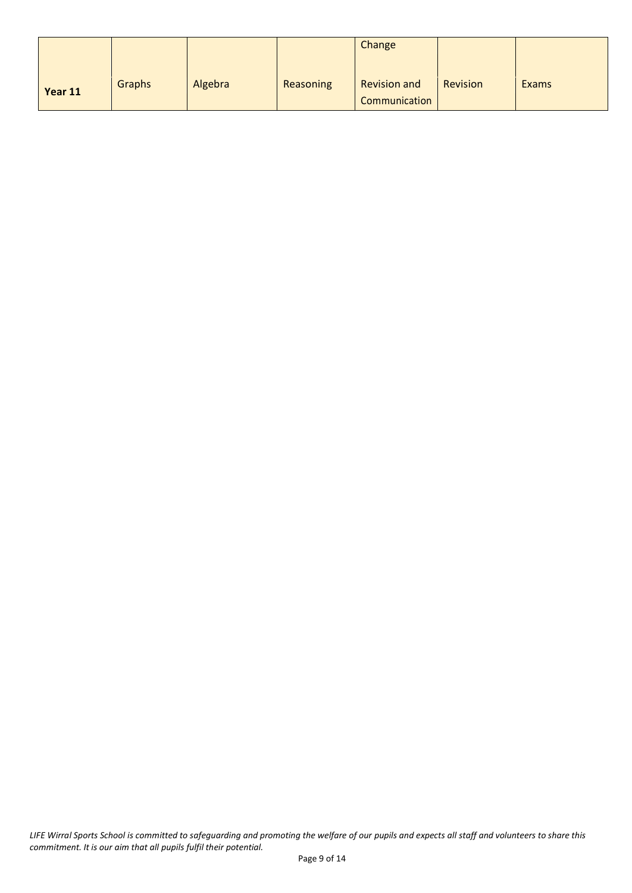|         |               |         |           | Change                               |          |       |
|---------|---------------|---------|-----------|--------------------------------------|----------|-------|
| Year 11 | <b>Graphs</b> | Algebra | Reasoning | <b>Revision and</b><br>Communication | Revision | Exams |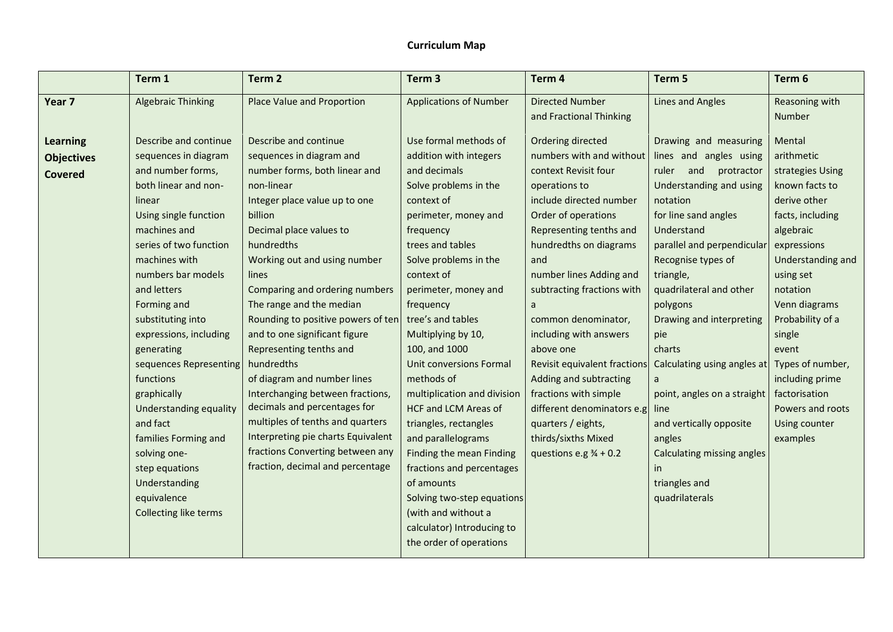# **Curriculum Map**

|                   | Term 1                    | Term <sub>2</sub>                  | Term <sub>3</sub>             | Term 4                            | Term 5                      | Term 6            |
|-------------------|---------------------------|------------------------------------|-------------------------------|-----------------------------------|-----------------------------|-------------------|
| Year 7            | <b>Algebraic Thinking</b> | Place Value and Proportion         | <b>Applications of Number</b> | <b>Directed Number</b>            | <b>Lines and Angles</b>     | Reasoning with    |
|                   |                           |                                    |                               | and Fractional Thinking           |                             | Number            |
| <b>Learning</b>   | Describe and continue     | Describe and continue              | Use formal methods of         | Ordering directed                 | Drawing and measuring       | Mental            |
| <b>Objectives</b> | sequences in diagram      | sequences in diagram and           | addition with integers        | numbers with and without          | lines and angles using      | arithmetic        |
| <b>Covered</b>    | and number forms,         | number forms, both linear and      | and decimals                  | context Revisit four              | ruler and protractor        | strategies Using  |
|                   | both linear and non-      | non-linear                         | Solve problems in the         | operations to                     | Understanding and using     | known facts to    |
|                   | linear                    | Integer place value up to one      | context of                    | include directed number           | notation                    | derive other      |
|                   | Using single function     | billion                            | perimeter, money and          | Order of operations               | for line sand angles        | facts, including  |
|                   | machines and              | Decimal place values to            | frequency                     | Representing tenths and           | Understand                  | algebraic         |
|                   | series of two function    | hundredths                         | trees and tables              | hundredths on diagrams            | parallel and perpendicular  | expressions       |
|                   | machines with             | Working out and using number       | Solve problems in the         | and                               | Recognise types of          | Understanding and |
|                   | numbers bar models        | lines                              | context of                    | number lines Adding and           | triangle,                   | using set         |
|                   | and letters               | Comparing and ordering numbers     | perimeter, money and          | subtracting fractions with        | quadrilateral and other     | notation          |
|                   | Forming and               | The range and the median           | frequency                     | a                                 | polygons                    | Venn diagrams     |
|                   | substituting into         | Rounding to positive powers of ten | tree's and tables             | common denominator,               | Drawing and interpreting    | Probability of a  |
|                   | expressions, including    | and to one significant figure      | Multiplying by 10,            | including with answers            | pie                         | single            |
|                   | generating                | Representing tenths and            | 100, and 1000                 | above one                         | charts                      | event             |
|                   | sequences Representing    | hundredths                         | Unit conversions Formal       | Revisit equivalent fractions      | Calculating using angles at | Types of number,  |
|                   | functions                 | of diagram and number lines        | methods of                    | Adding and subtracting            |                             | including prime   |
|                   | graphically               | Interchanging between fractions,   | multiplication and division   | fractions with simple             | point, angles on a straight | factorisation     |
|                   | Understanding equality    | decimals and percentages for       | <b>HCF and LCM Areas of</b>   | different denominators e.g.       | line                        | Powers and roots  |
|                   | and fact                  | multiples of tenths and quarters   | triangles, rectangles         | quarters / eights,                | and vertically opposite     | Using counter     |
|                   | families Forming and      | Interpreting pie charts Equivalent | and parallelograms            | thirds/sixths Mixed               | angles                      | examples          |
|                   | solving one-              | fractions Converting between any   | Finding the mean Finding      | questions e.g $\frac{3}{4}$ + 0.2 | Calculating missing angles  |                   |
|                   | step equations            | fraction, decimal and percentage   | fractions and percentages     |                                   | <i>in</i>                   |                   |
|                   | Understanding             |                                    | of amounts                    |                                   | triangles and               |                   |
|                   | equivalence               |                                    | Solving two-step equations    |                                   | quadrilaterals              |                   |
|                   | Collecting like terms     |                                    | (with and without a           |                                   |                             |                   |
|                   |                           |                                    | calculator) Introducing to    |                                   |                             |                   |
|                   |                           |                                    | the order of operations       |                                   |                             |                   |
|                   |                           |                                    |                               |                                   |                             |                   |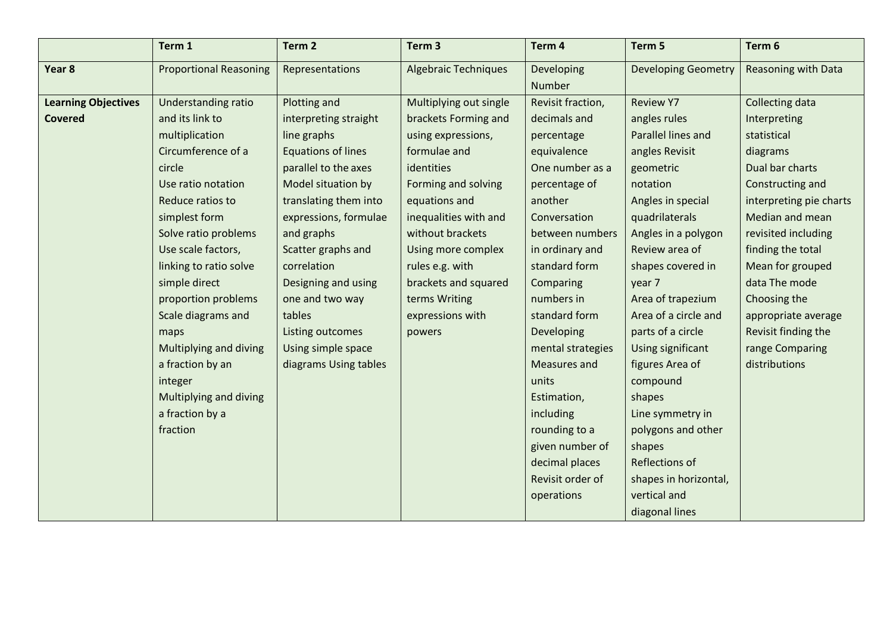|                            | Term 1                        | Term <sub>2</sub>         | Term <sub>3</sub>           | Term <sub>4</sub> | Term 5                     | Term 6                     |
|----------------------------|-------------------------------|---------------------------|-----------------------------|-------------------|----------------------------|----------------------------|
| Year <sub>8</sub>          | <b>Proportional Reasoning</b> | Representations           | <b>Algebraic Techniques</b> | Developing        | <b>Developing Geometry</b> | <b>Reasoning with Data</b> |
|                            |                               |                           |                             | Number            |                            |                            |
| <b>Learning Objectives</b> | Understanding ratio           | Plotting and              | Multiplying out single      | Revisit fraction, | <b>Review Y7</b>           | Collecting data            |
| <b>Covered</b>             | and its link to               | interpreting straight     | brackets Forming and        | decimals and      | angles rules               | Interpreting               |
|                            | multiplication                | line graphs               | using expressions,          | percentage        | Parallel lines and         | statistical                |
|                            | Circumference of a            | <b>Equations of lines</b> | formulae and                | equivalence       | angles Revisit             | diagrams                   |
|                            | circle                        | parallel to the axes      | identities                  | One number as a   | geometric                  | Dual bar charts            |
|                            | Use ratio notation            | Model situation by        | Forming and solving         | percentage of     | notation                   | Constructing and           |
|                            | Reduce ratios to              | translating them into     | equations and               | another           | Angles in special          | interpreting pie charts    |
|                            | simplest form                 | expressions, formulae     | inequalities with and       | Conversation      | quadrilaterals             | Median and mean            |
|                            | Solve ratio problems          | and graphs                | without brackets            | between numbers   | Angles in a polygon        | revisited including        |
|                            | Use scale factors,            | Scatter graphs and        | Using more complex          | in ordinary and   | Review area of             | finding the total          |
|                            | linking to ratio solve        | correlation               | rules e.g. with             | standard form     | shapes covered in          | Mean for grouped           |
|                            | simple direct                 | Designing and using       | brackets and squared        | Comparing         | year 7                     | data The mode              |
|                            | proportion problems           | one and two way           | terms Writing               | numbers in        | Area of trapezium          | Choosing the               |
|                            | Scale diagrams and            | tables                    | expressions with            | standard form     | Area of a circle and       | appropriate average        |
|                            | maps                          | Listing outcomes          | powers                      | Developing        | parts of a circle          | Revisit finding the        |
|                            | Multiplying and diving        | Using simple space        |                             | mental strategies | Using significant          | range Comparing            |
|                            | a fraction by an              | diagrams Using tables     |                             | Measures and      | figures Area of            | distributions              |
|                            | integer                       |                           |                             | units             | compound                   |                            |
|                            | Multiplying and diving        |                           |                             | Estimation,       | shapes                     |                            |
|                            | a fraction by a               |                           |                             | including         | Line symmetry in           |                            |
|                            | fraction                      |                           |                             | rounding to a     | polygons and other         |                            |
|                            |                               |                           |                             | given number of   | shapes                     |                            |
|                            |                               |                           |                             | decimal places    | Reflections of             |                            |
|                            |                               |                           |                             | Revisit order of  | shapes in horizontal,      |                            |
|                            |                               |                           |                             | operations        | vertical and               |                            |
|                            |                               |                           |                             |                   | diagonal lines             |                            |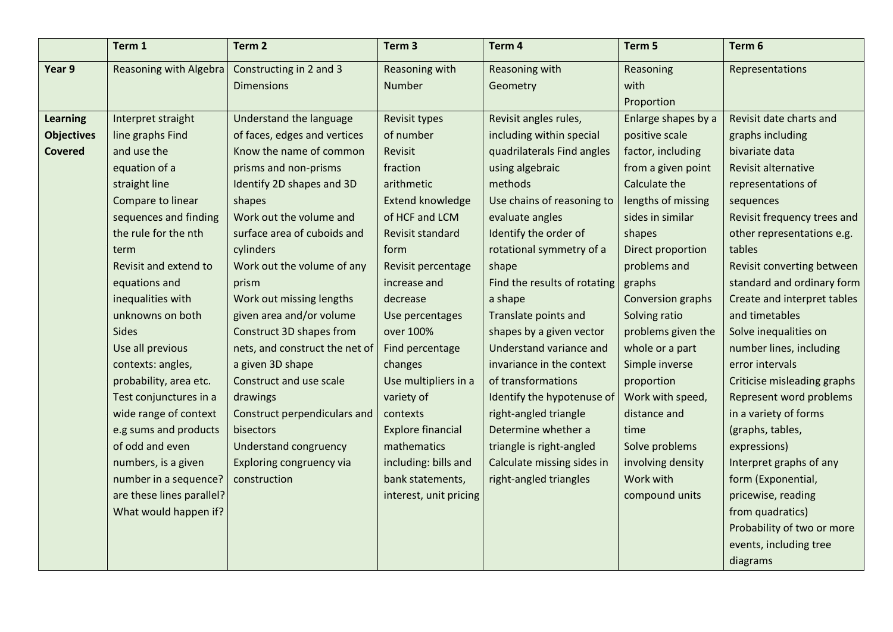|                   | Term 1                    | Term 2                         | Term <sub>3</sub>        | Term 4                       | Term 5              | Term 6                      |
|-------------------|---------------------------|--------------------------------|--------------------------|------------------------------|---------------------|-----------------------------|
| Year 9            | Reasoning with Algebra    | Constructing in 2 and 3        | Reasoning with           | Reasoning with               | Reasoning           | Representations             |
|                   |                           | <b>Dimensions</b>              | Number                   | Geometry                     | with                |                             |
|                   |                           |                                |                          |                              | Proportion          |                             |
| <b>Learning</b>   | Interpret straight        | Understand the language        | Revisit types            | Revisit angles rules,        | Enlarge shapes by a | Revisit date charts and     |
| <b>Objectives</b> | line graphs Find          | of faces, edges and vertices   | of number                | including within special     | positive scale      | graphs including            |
| <b>Covered</b>    | and use the               | Know the name of common        | Revisit                  | quadrilaterals Find angles   | factor, including   | bivariate data              |
|                   | equation of a             | prisms and non-prisms          | fraction                 | using algebraic              | from a given point  | Revisit alternative         |
|                   | straight line             | Identify 2D shapes and 3D      | arithmetic               | methods                      | Calculate the       | representations of          |
|                   | Compare to linear         | shapes                         | <b>Extend knowledge</b>  | Use chains of reasoning to   | lengths of missing  | sequences                   |
|                   | sequences and finding     | Work out the volume and        | of HCF and LCM           | evaluate angles              | sides in similar    | Revisit frequency trees and |
|                   | the rule for the nth      | surface area of cuboids and    | Revisit standard         | Identify the order of        | shapes              | other representations e.g.  |
|                   | term                      | cylinders                      | form                     | rotational symmetry of a     | Direct proportion   | tables                      |
|                   | Revisit and extend to     | Work out the volume of any     | Revisit percentage       | shape                        | problems and        | Revisit converting between  |
|                   | equations and             | prism                          | increase and             | Find the results of rotating | graphs              | standard and ordinary form  |
|                   | inequalities with         | Work out missing lengths       | decrease                 | a shape                      | Conversion graphs   | Create and interpret tables |
|                   | unknowns on both          | given area and/or volume       | Use percentages          | Translate points and         | Solving ratio       | and timetables              |
|                   | Sides                     | Construct 3D shapes from       | over 100%                | shapes by a given vector     | problems given the  | Solve inequalities on       |
|                   | Use all previous          | nets, and construct the net of | Find percentage          | Understand variance and      | whole or a part     | number lines, including     |
|                   | contexts: angles,         | a given 3D shape               | changes                  | invariance in the context    | Simple inverse      | error intervals             |
|                   | probability, area etc.    | Construct and use scale        | Use multipliers in a     | of transformations           | proportion          | Criticise misleading graphs |
|                   | Test conjunctures in a    | drawings                       | variety of               | Identify the hypotenuse of   | Work with speed,    | Represent word problems     |
|                   | wide range of context     | Construct perpendiculars and   | contexts                 | right-angled triangle        | distance and        | in a variety of forms       |
|                   | e.g sums and products     | bisectors                      | <b>Explore financial</b> | Determine whether a          | time                | (graphs, tables,            |
|                   | of odd and even           | <b>Understand congruency</b>   | mathematics              | triangle is right-angled     | Solve problems      | expressions)                |
|                   | numbers, is a given       | Exploring congruency via       | including: bills and     | Calculate missing sides in   | involving density   | Interpret graphs of any     |
|                   | number in a sequence?     | construction                   | bank statements,         | right-angled triangles       | Work with           | form (Exponential,          |
|                   | are these lines parallel? |                                | interest, unit pricing   |                              | compound units      | pricewise, reading          |
|                   | What would happen if?     |                                |                          |                              |                     | from quadratics)            |
|                   |                           |                                |                          |                              |                     | Probability of two or more  |
|                   |                           |                                |                          |                              |                     | events, including tree      |
|                   |                           |                                |                          |                              |                     | diagrams                    |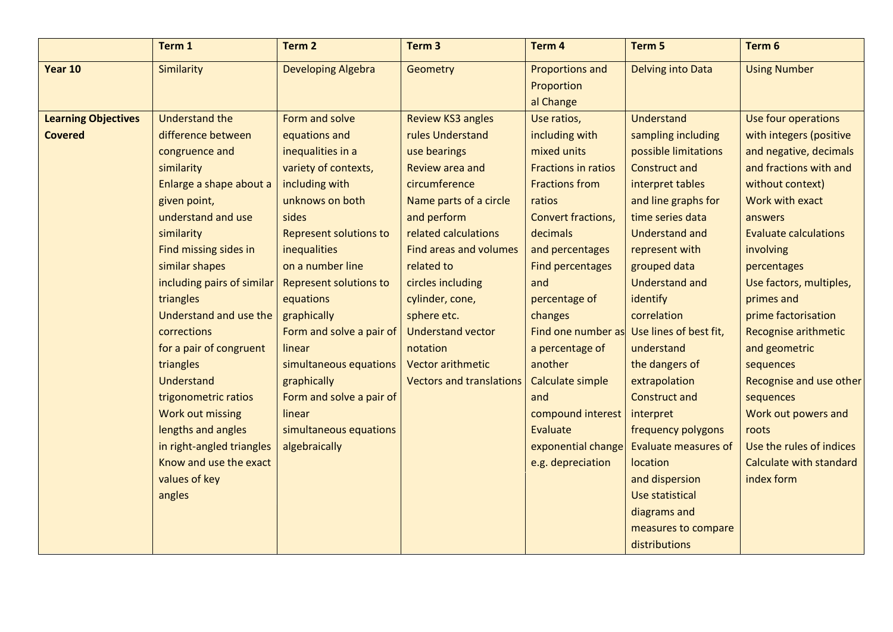|                            | Term 1                     | Term <sub>2</sub>             | Term <sub>3</sub>               | Term 4                                     | Term 5                      | Term 6                       |
|----------------------------|----------------------------|-------------------------------|---------------------------------|--------------------------------------------|-----------------------------|------------------------------|
| Year 10                    | Similarity                 | <b>Developing Algebra</b>     | Geometry                        | Proportions and<br>Proportion<br>al Change | Delving into Data           | <b>Using Number</b>          |
| <b>Learning Objectives</b> | <b>Understand the</b>      | Form and solve                | <b>Review KS3 angles</b>        | Use ratios,                                | <b>Understand</b>           | Use four operations          |
| <b>Covered</b>             | difference between         | equations and                 | rules Understand                | including with                             | sampling including          | with integers (positive      |
|                            | congruence and             | inequalities in a             | use bearings                    | mixed units                                | possible limitations        | and negative, decimals       |
|                            | similarity                 | variety of contexts,          | Review area and                 | <b>Fractions in ratios</b>                 | <b>Construct and</b>        | and fractions with and       |
|                            | Enlarge a shape about a    | including with                | circumference                   | <b>Fractions from</b>                      | interpret tables            | without context)             |
|                            | given point,               | unknows on both               | Name parts of a circle          | ratios                                     | and line graphs for         | Work with exact              |
|                            | understand and use         | sides                         | and perform                     | Convert fractions,                         | time series data            | answers                      |
|                            | similarity                 | <b>Represent solutions to</b> | related calculations            | decimals                                   | <b>Understand and</b>       | <b>Evaluate calculations</b> |
|                            | Find missing sides in      | inequalities                  | <b>Find areas and volumes</b>   | and percentages                            | represent with              | involving                    |
|                            | similar shapes             | on a number line              | related to                      | Find percentages                           | grouped data                | percentages                  |
|                            | including pairs of similar | <b>Represent solutions to</b> | circles including               | and                                        | <b>Understand and</b>       | Use factors, multiples,      |
|                            | triangles                  | equations                     | cylinder, cone,                 | percentage of                              | identify                    | primes and                   |
|                            | Understand and use the     | graphically                   | sphere etc.                     | changes                                    | correlation                 | prime factorisation          |
|                            | corrections                | Form and solve a pair of      | <b>Understand vector</b>        | Find one number as                         | Use lines of best fit,      | <b>Recognise arithmetic</b>  |
|                            | for a pair of congruent    | linear                        | notation                        | a percentage of                            | understand                  | and geometric                |
|                            | triangles                  | simultaneous equations        | <b>Vector arithmetic</b>        | another                                    | the dangers of              | sequences                    |
|                            | Understand                 | graphically                   | <b>Vectors and translations</b> | Calculate simple                           | extrapolation               | Recognise and use other      |
|                            | trigonometric ratios       | Form and solve a pair of      |                                 | and                                        | <b>Construct and</b>        | sequences                    |
|                            | Work out missing           | linear                        |                                 | compound interest                          | interpret                   | Work out powers and          |
|                            | lengths and angles         | simultaneous equations        |                                 | Evaluate                                   | frequency polygons          | roots                        |
|                            | in right-angled triangles  | algebraically                 |                                 | exponential change                         | <b>Evaluate measures of</b> | Use the rules of indices     |
|                            | Know and use the exact     |                               |                                 | e.g. depreciation                          | location                    | Calculate with standard      |
|                            | values of key              |                               |                                 |                                            | and dispersion              | index form                   |
|                            | angles                     |                               |                                 |                                            | Use statistical             |                              |
|                            |                            |                               |                                 |                                            | diagrams and                |                              |
|                            |                            |                               |                                 |                                            | measures to compare         |                              |
|                            |                            |                               |                                 |                                            | distributions               |                              |